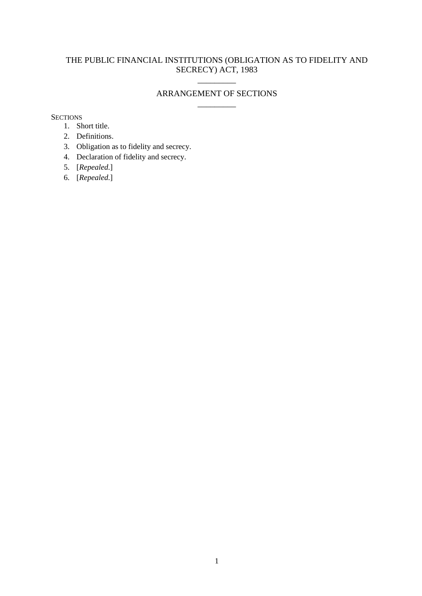# THE PUBLIC FINANCIAL INSTITUTIONS (OBLIGATION AS TO FIDELITY AND SECRECY) ACT, 1983

## ARRANGEMENT OF SECTIONS  $\overline{\phantom{a}}$  ,  $\overline{\phantom{a}}$  ,  $\overline{\phantom{a}}$  ,  $\overline{\phantom{a}}$  ,  $\overline{\phantom{a}}$  ,  $\overline{\phantom{a}}$  ,  $\overline{\phantom{a}}$  ,  $\overline{\phantom{a}}$  ,  $\overline{\phantom{a}}$  ,  $\overline{\phantom{a}}$  ,  $\overline{\phantom{a}}$  ,  $\overline{\phantom{a}}$  ,  $\overline{\phantom{a}}$  ,  $\overline{\phantom{a}}$  ,  $\overline{\phantom{a}}$  ,  $\overline{\phantom{a}}$

 $\overline{\phantom{a}}$  ,  $\overline{\phantom{a}}$  ,  $\overline{\phantom{a}}$  ,  $\overline{\phantom{a}}$  ,  $\overline{\phantom{a}}$  ,  $\overline{\phantom{a}}$  ,  $\overline{\phantom{a}}$  ,  $\overline{\phantom{a}}$  ,  $\overline{\phantom{a}}$  ,  $\overline{\phantom{a}}$  ,  $\overline{\phantom{a}}$  ,  $\overline{\phantom{a}}$  ,  $\overline{\phantom{a}}$  ,  $\overline{\phantom{a}}$  ,  $\overline{\phantom{a}}$  ,  $\overline{\phantom{a}}$ 

**SECTIONS** 

- 1. Short title.
- 2. Definitions.
- 3. Obligation as to fidelity and secrecy.
- 4. Declaration of fidelity and secrecy.
- 5. [*Repealed*.]
- 6. [*Repealed*.]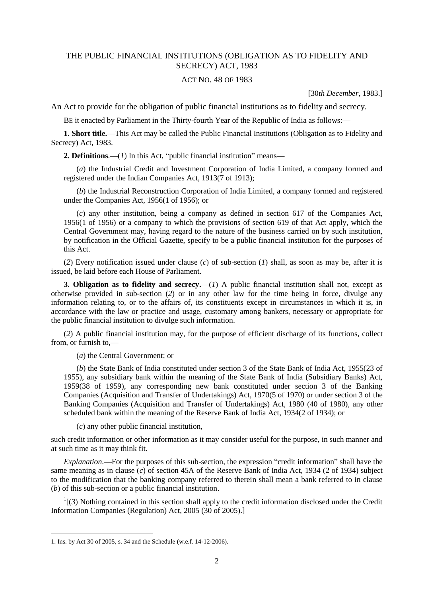### THE PUBLIC FINANCIAL INSTITUTIONS (OBLIGATION AS TO FIDELITY AND SECRECY) ACT, 1983

#### ACT NO. 48 OF 1983

[30*th December*, 1983.]

An Act to provide for the obligation of public financial institutions as to fidelity and secrecy.

BE it enacted by Parliament in the Thirty-fourth Year of the Republic of India as follows:**—**

**1. Short title.—**This Act may be called the Public Financial Institutions (Obligation as to Fidelity and Secrecy) Act, 1983.

**2. Definitions**.**—**(*1*) In this Act, "public financial institution" means**—**

(*a*) the Industrial Credit and Investment Corporation of India Limited, a company formed and registered under the Indian Companies Act, 1913(7 of 1913);

(*b*) the Industrial Reconstruction Corporation of India Limited, a company formed and registered under the Companies Act, 1956(1 of 1956); or

(*c*) any other institution, being a company as defined in section 617 of the Companies Act, 1956(1 of 1956) or a company to which the provisions of section 619 of that Act apply, which the Central Government may, having regard to the nature of the business carried on by such institution, by notification in the Official Gazette, specify to be a public financial institution for the purposes of this Act.

(*2*) Every notification issued under clause (*c*) of sub-section (*1*) shall, as soon as may be, after it is issued, be laid before each House of Parliament.

**3. Obligation as to fidelity and secrecy.**—(*1*) A public financial institution shall not, except as otherwise provided in sub-section (*2*) or in any other law for the time being in force, divulge any information relating to, or to the affairs of, its constituents except in circumstances in which it is, in accordance with the law or practice and usage, customary among bankers, necessary or appropriate for the public financial institution to divulge such information.

(*2*) A public financial institution may, for the purpose of efficient discharge of its functions, collect from, or furnish to,**—**

(*a*) the Central Government; or

(*b*) the State Bank of India constituted under section 3 of the State Bank of India Act, 1955(23 of 1955), any subsidiary bank within the meaning of the State Bank of India (Subsidiary Banks) Act, 1959(38 of 1959), any corresponding new bank constituted under section 3 of the Banking Companies (Acquisition and Transfer of Undertakings) Act, 1970(5 of 1970) or under section 3 of the Banking Companies (Acquisition and Transfer of Undertakings) Act, 1980 (40 of 1980), any other scheduled bank within the meaning of the Reserve Bank of India Act, 1934(2 of 1934); or

(*c*) any other public financial institution,

such credit information or other information as it may consider useful for the purpose, in such manner and at such time as it may think fit.

*Explanation*.**—**For the purposes of this sub-section, the expression "credit information" shall have the same meaning as in clause (*c*) of section 45A of the Reserve Bank of India Act, 1934 (2 of 1934) subject to the modification that the banking company referred to therein shall mean a bank referred to in clause (*b*) of this sub-section or a public financial institution.

 $\frac{1}{3}$  Nothing contained in this section shall apply to the credit information disclosed under the Credit Information Companies (Regulation) Act, 2005 (30 of 2005).]

**.** 

<sup>1.</sup> Ins. by Act 30 of 2005, s. 34 and the Schedule (w.e.f. 14-12-2006).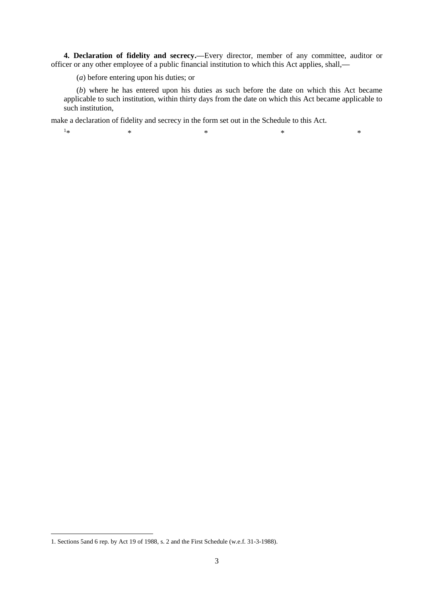**4. Declaration of fidelity and secrecy.—**Every director, member of any committee, auditor or officer or any other employee of a public financial institution to which this Act applies, shall,**—**

(*a*) before entering upon his duties; or

(*b*) where he has entered upon his duties as such before the date on which this Act became applicable to such institution, within thirty days from the date on which this Act became applicable to such institution,

make a declaration of fidelity and secrecy in the form set out in the Schedule to this Act.

 $1_{\ast}$  $*$   $*$   $*$   $*$   $*$   $*$   $*$ 

**.** 

<sup>1.</sup> Sections 5and 6 rep. by Act 19 of 1988, s. 2 and the First Schedule (w.e.f. 31-3-1988).